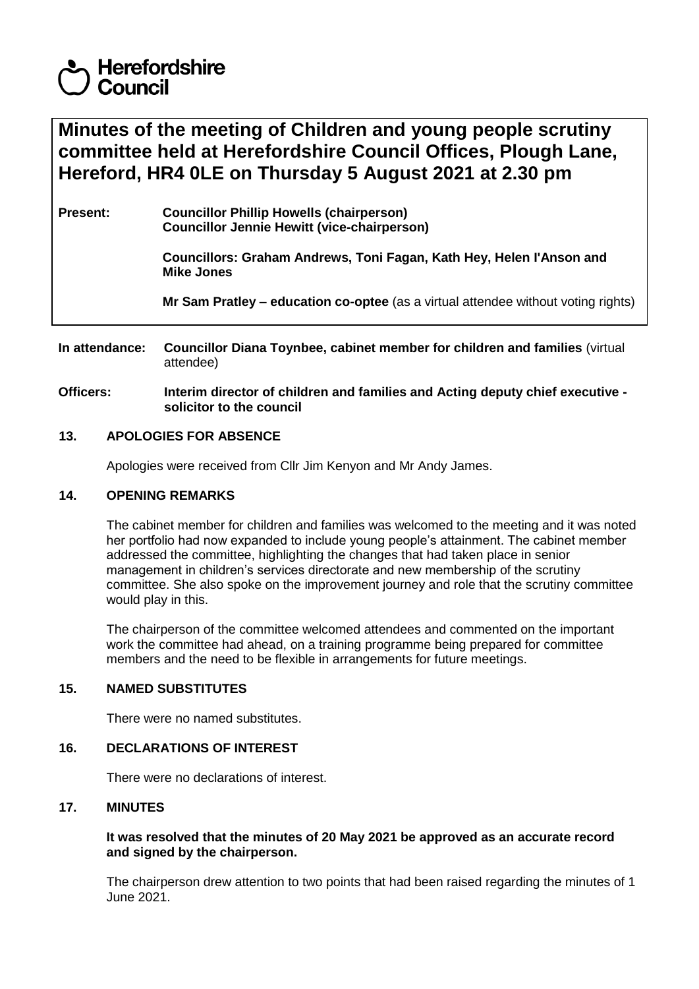# **Herefordshire** Council

**Minutes of the meeting of Children and young people scrutiny committee held at Herefordshire Council Offices, Plough Lane, Hereford, HR4 0LE on Thursday 5 August 2021 at 2.30 pm**

**Present: Councillor Phillip Howells (chairperson) Councillor Jennie Hewitt (vice-chairperson)**

> **Councillors: Graham Andrews, Toni Fagan, Kath Hey, Helen I'Anson and Mike Jones**

**Mr Sam Pratley – education co-optee** (as a virtual attendee without voting rights)

**In attendance: Councillor Diana Toynbee, cabinet member for children and families** (virtual attendee)

**Officers: Interim director of children and families and Acting deputy chief executive solicitor to the council**

# **13. APOLOGIES FOR ABSENCE**

Apologies were received from Cllr Jim Kenyon and Mr Andy James.

#### **14. OPENING REMARKS**

The cabinet member for children and families was welcomed to the meeting and it was noted her portfolio had now expanded to include young people's attainment. The cabinet member addressed the committee, highlighting the changes that had taken place in senior management in children's services directorate and new membership of the scrutiny committee. She also spoke on the improvement journey and role that the scrutiny committee would play in this.

The chairperson of the committee welcomed attendees and commented on the important work the committee had ahead, on a training programme being prepared for committee members and the need to be flexible in arrangements for future meetings.

# **15. NAMED SUBSTITUTES**

There were no named substitutes.

# **16. DECLARATIONS OF INTEREST**

There were no declarations of interest.

# **17. MINUTES**

# **It was resolved that the minutes of 20 May 2021 be approved as an accurate record and signed by the chairperson.**

The chairperson drew attention to two points that had been raised regarding the minutes of 1 June 2021.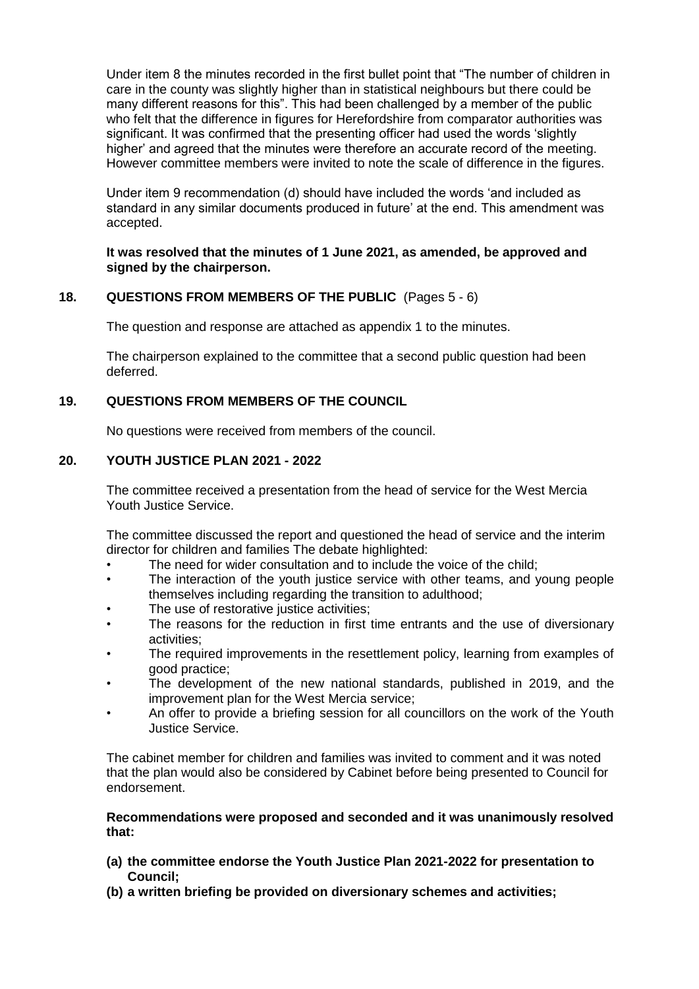Under item 8 the minutes recorded in the first bullet point that "The number of children in care in the county was slightly higher than in statistical neighbours but there could be many different reasons for this". This had been challenged by a member of the public who felt that the difference in figures for Herefordshire from comparator authorities was significant. It was confirmed that the presenting officer had used the words 'slightly higher' and agreed that the minutes were therefore an accurate record of the meeting. However committee members were invited to note the scale of difference in the figures.

Under item 9 recommendation (d) should have included the words 'and included as standard in any similar documents produced in future' at the end. This amendment was accepted.

#### **It was resolved that the minutes of 1 June 2021, as amended, be approved and signed by the chairperson.**

# **18. QUESTIONS FROM MEMBERS OF THE PUBLIC** (Pages 5 - 6)

The question and response are attached as appendix 1 to the minutes.

The chairperson explained to the committee that a second public question had been deferred.

# **19. QUESTIONS FROM MEMBERS OF THE COUNCIL**

No questions were received from members of the council.

# **20. YOUTH JUSTICE PLAN 2021 - 2022**

The committee received a presentation from the head of service for the West Mercia Youth Justice Service.

The committee discussed the report and questioned the head of service and the interim director for children and families The debate highlighted:

- The need for wider consultation and to include the voice of the child;
- The interaction of the youth justice service with other teams, and young people themselves including regarding the transition to adulthood;
- The use of restorative justice activities;
- The reasons for the reduction in first time entrants and the use of diversionary activities;
- The required improvements in the resettlement policy, learning from examples of good practice;
- The development of the new national standards, published in 2019, and the improvement plan for the West Mercia service;
- An offer to provide a briefing session for all councillors on the work of the Youth Justice Service.

The cabinet member for children and families was invited to comment and it was noted that the plan would also be considered by Cabinet before being presented to Council for endorsement.

#### **Recommendations were proposed and seconded and it was unanimously resolved that:**

- **(a) the committee endorse the Youth Justice Plan 2021-2022 for presentation to Council;**
- **(b) a written briefing be provided on diversionary schemes and activities;**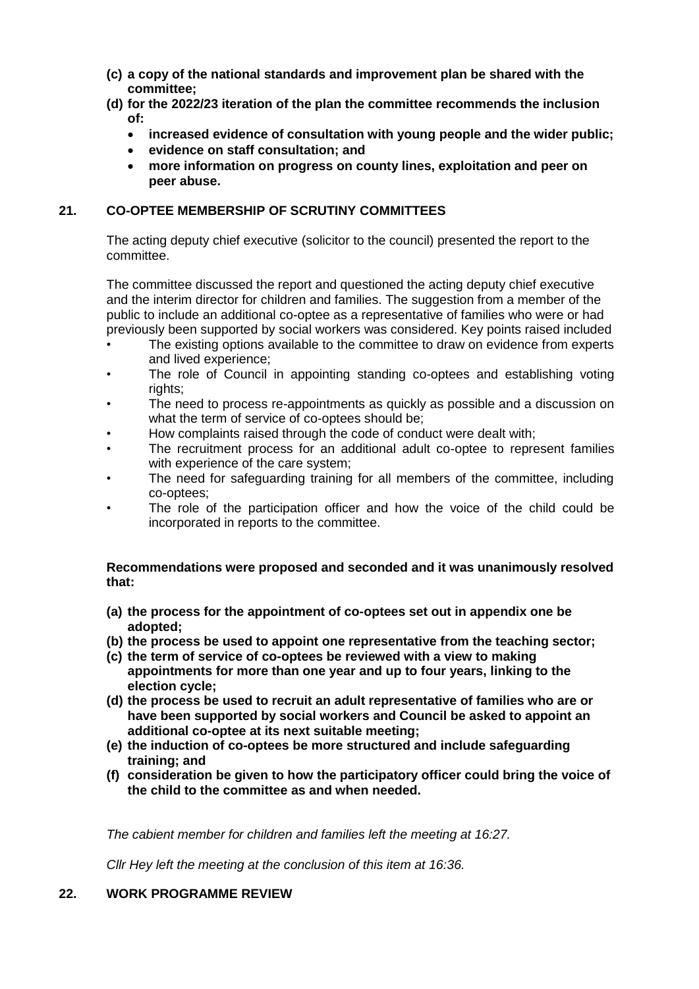- **(c) a copy of the national standards and improvement plan be shared with the committee;**
- **(d) for the 2022/23 iteration of the plan the committee recommends the inclusion of:**
	- **increased evidence of consultation with young people and the wider public;**
	- **evidence on staff consultation; and**
	- **more information on progress on county lines, exploitation and peer on peer abuse.**

# **21. CO-OPTEE MEMBERSHIP OF SCRUTINY COMMITTEES**

The acting deputy chief executive (solicitor to the council) presented the report to the committee.

The committee discussed the report and questioned the acting deputy chief executive and the interim director for children and families. The suggestion from a member of the public to include an additional co-optee as a representative of families who were or had previously been supported by social workers was considered. Key points raised included

- The existing options available to the committee to draw on evidence from experts and lived experience;
- The role of Council in appointing standing co-optees and establishing voting rights:
- The need to process re-appointments as quickly as possible and a discussion on what the term of service of co-optees should be;
- How complaints raised through the code of conduct were dealt with;
- The recruitment process for an additional adult co-optee to represent families with experience of the care system;
- The need for safeguarding training for all members of the committee, including co-optees;
- The role of the participation officer and how the voice of the child could be incorporated in reports to the committee.

# **Recommendations were proposed and seconded and it was unanimously resolved that:**

- **(a) the process for the appointment of co-optees set out in appendix one be adopted;**
- **(b) the process be used to appoint one representative from the teaching sector;**
- **(c) the term of service of co-optees be reviewed with a view to making appointments for more than one year and up to four years, linking to the election cycle;**
- **(d) the process be used to recruit an adult representative of families who are or have been supported by social workers and Council be asked to appoint an additional co-optee at its next suitable meeting;**
- **(e) the induction of co-optees be more structured and include safeguarding training; and**
- **(f) consideration be given to how the participatory officer could bring the voice of the child to the committee as and when needed.**

*The cabient member for children and families left the meeting at 16:27.*

*Cllr Hey left the meeting at the conclusion of this item at 16:36.*

# **22. WORK PROGRAMME REVIEW**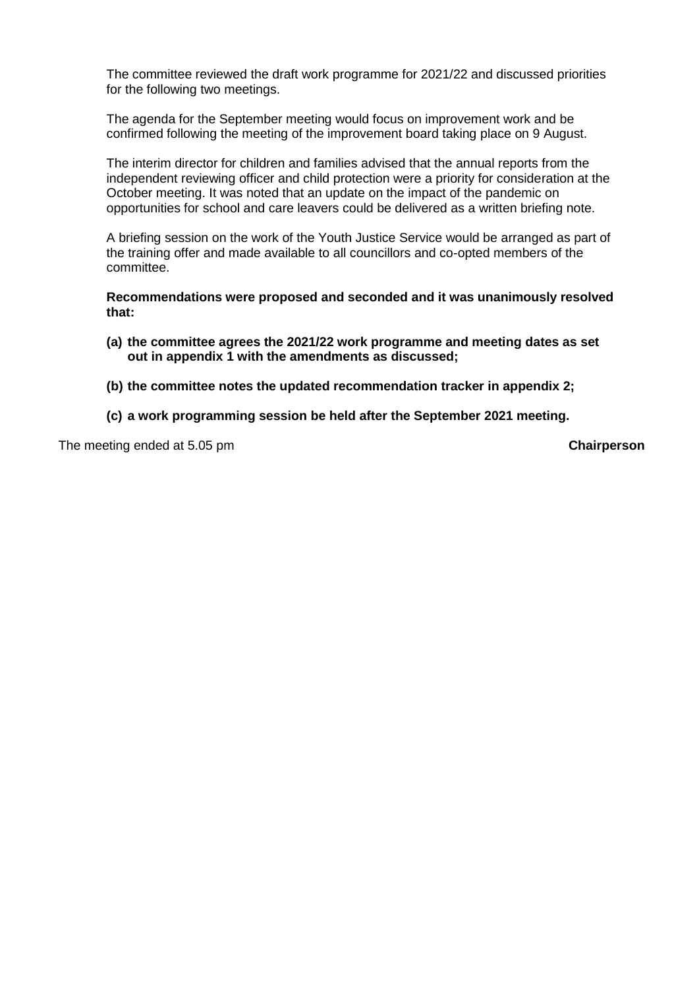The committee reviewed the draft work programme for 2021/22 and discussed priorities for the following two meetings.

The agenda for the September meeting would focus on improvement work and be confirmed following the meeting of the improvement board taking place on 9 August.

The interim director for children and families advised that the annual reports from the independent reviewing officer and child protection were a priority for consideration at the October meeting. It was noted that an update on the impact of the pandemic on opportunities for school and care leavers could be delivered as a written briefing note.

A briefing session on the work of the Youth Justice Service would be arranged as part of the training offer and made available to all councillors and co-opted members of the committee.

**Recommendations were proposed and seconded and it was unanimously resolved that:**

- **(a) the committee agrees the 2021/22 work programme and meeting dates as set out in appendix 1 with the amendments as discussed;**
- **(b) the committee notes the updated recommendation tracker in appendix 2;**
- **(c) a work programming session be held after the September 2021 meeting.**

The meeting ended at 5.05 pm **Chairperson**